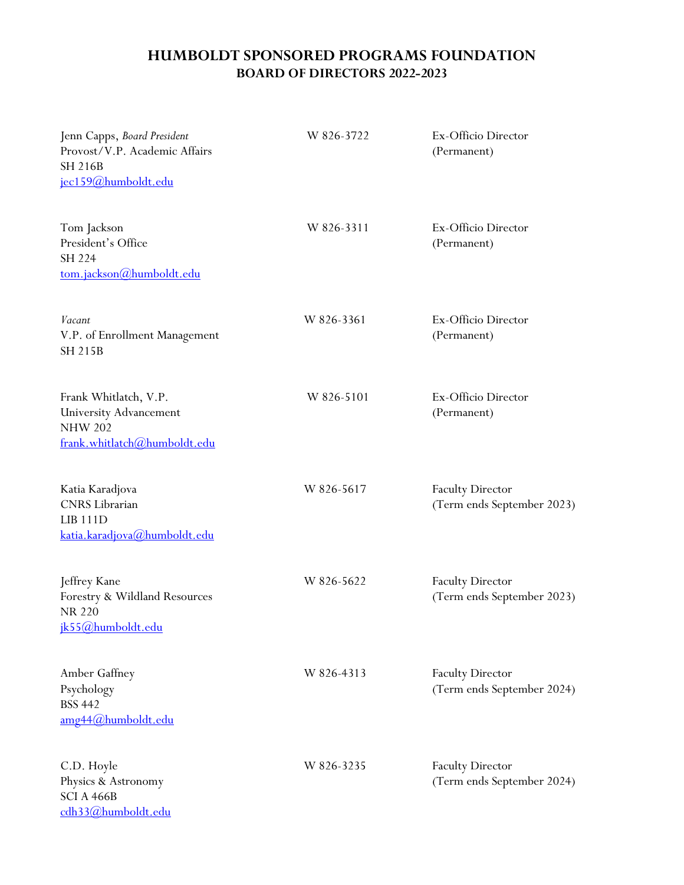## **HUMBOLDT SPONSORED PROGRAMS FOUNDATION BOARD OF DIRECTORS 2022-2023**

| Jenn Capps, Board President<br>Provost/V.P. Academic Affairs<br><b>SH 216B</b><br>jec159@humboldt.edu    | W 826-3722 | Ex-Officio Director<br>(Permanent)                    |
|----------------------------------------------------------------------------------------------------------|------------|-------------------------------------------------------|
| Tom Jackson<br>President's Office<br>SH 224<br>tom.jackson@humboldt.edu                                  | W 826-3311 | Ex-Officio Director<br>(Permanent)                    |
| Vacant<br>V.P. of Enrollment Management<br><b>SH 215B</b>                                                | W 826-3361 | Ex-Officio Director<br>(Permanent)                    |
| Frank Whitlatch, V.P.<br><b>University Advancement</b><br><b>NHW 202</b><br>frank.whitlatch@humboldt.edu | W 826-5101 | Ex-Officio Director<br>(Permanent)                    |
| Katia Karadjova<br>CNRS Librarian<br><b>LIB 111D</b><br>katia.karadjova@humboldt.edu                     | W 826-5617 | <b>Faculty Director</b><br>(Term ends September 2023) |
| Jeffrey Kane<br>Forestry & Wildland Resources<br>NR 220<br>jk55@humboldt.edu                             | W 826-5622 | <b>Faculty Director</b><br>(Term ends September 2023) |
| Amber Gaffney<br>Psychology<br><b>BSS 442</b><br>amg44@humboldt.edu                                      | W 826-4313 | <b>Faculty Director</b><br>(Term ends September 2024) |
| C.D. Hoyle<br>Physics & Astronomy<br>SCI A 466B<br>cdh33@humboldt.edu                                    | W 826-3235 | <b>Faculty Director</b><br>(Term ends September 2024) |